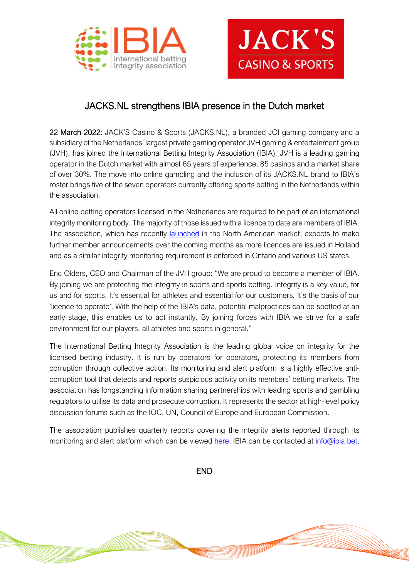



## JACKS.NL strengthens IBIA presence in the Dutch market

22 March 2022: JACK'S Casino & Sports (JACKS.NL), a branded JOI gaming company and a subsidiary of the Netherlands' largest private gaming operator JVH gaming & entertainment group (JVH), has joined the International Betting Integrity Association (IBIA). JVH is a leading gaming operator in the Dutch market with almost 65 years of experience, 85 casinos and a market share of over 30%. The move into online gambling and the inclusion of its JACKS.NL brand to IBIA's roster brings five of the seven operators currently offering sports betting in the Netherlands within the association.

All online betting operators licensed in the Netherlands are required to be part of an international integrity monitoring body. The majority of those issued with a licence to date are members of IBIA. The association, which has recently [launched](https://ibia.bet/ibia-us-launch-feb-2022/) in the North American market, expects to make further member announcements over the coming months as more licences are issued in Holland and as a similar integrity monitoring requirement is enforced in Ontario and various US states.

Eric Olders, CEO and Chairman of the JVH group: "We are proud to become a member of IBIA. By joining we are protecting the integrity in sports and sports betting. Integrity is a key value, for us and for sports. It's essential for athletes and essential for our customers. It's the basis of our 'licence to operate'. With the help of the IBIA's data, potential malpractices can be spotted at an early stage, this enables us to act instantly. By joining forces with IBIA we strive for a safe environment for our players, all athletes and sports in general."

The International Betting Integrity Association is the leading global voice on integrity for the licensed betting industry. It is run by operators for operators, protecting its members from corruption through collective action. Its monitoring and alert platform is a highly effective anticorruption tool that detects and reports suspicious activity on its members' betting markets. The association has longstanding information sharing partnerships with leading sports and gambling regulators to utilise its data and prosecute corruption. It represents the sector at high-level policy discussion forums such as the IOC, UN, Council of Europe and European Commission.

The association publishes quarterly reports covering the integrity alerts reported through its monitoring and alert platform which can be viewed [here.](https://ibia.bet/resources/) IBIA can be contacted at [info@ibia.bet.](mailto:info@ibia.bet)

END